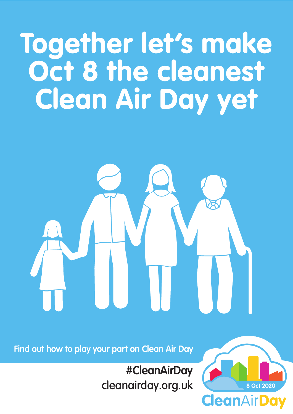# Together let's make Oct 8 the cleanest Clean Air Day yet



**CleanAirDay** 

### cleanairday.org.uk

### **#CleanAirDay**

#### **Find out how to play your part on Clean Air Day**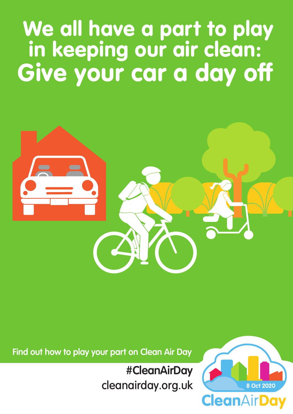## We all have a part to play in keeping our air clean: Give your car a day off



cleanairday.org.uk

### **#CleanAirDay**

**CleanAirDay** 

#### **Find out how to play your part on Clean Air Day**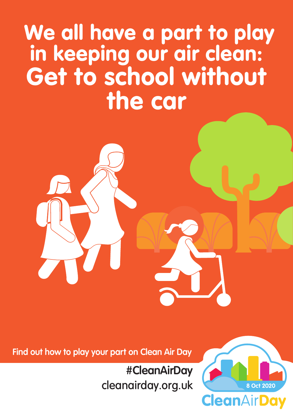### We all have a part to play in keeping our air clean: Get to school without the car

### cleanairday.org.uk

### **#CleanAirDay**

**CleanAirDay** 

#### **Find out how to play your part on Clean Air Day**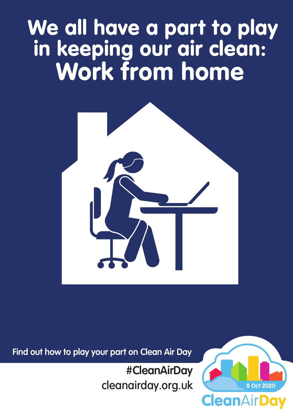## We all have a part to play in keeping our air clean: Work from home



cleanairday.org.uk

### **#CleanAirDay**

**CleanAirDay** 

#### **Find out how to play your part on Clean Air Day**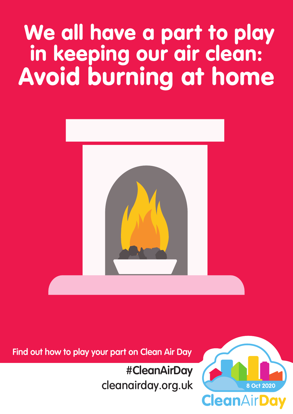## We all have a part to play in keeping our air clean: Avoid burning at home



cleanairday.org.uk

### **#CleanAirDay**

**CleanAirDay** 

**8 Oct 2020**

#### **Find out how to play your part on Clean Air Day**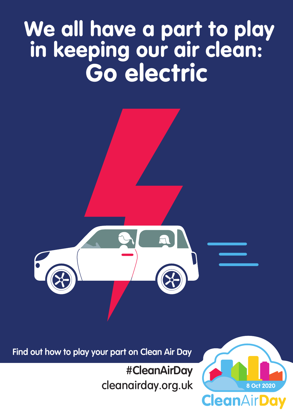## We all have a part to play in keeping our air clean: Go electric



### cleanairday.org.uk

### **#CleanAirDay**

**CleanAirDay** 

#### **Find out how to play your part on Clean Air Day**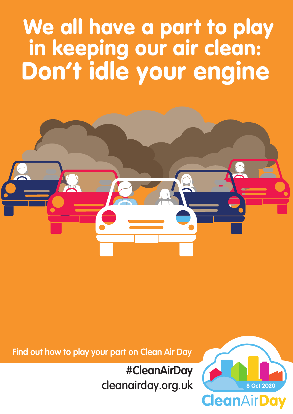### We all have a part to play in keeping our air clean: Don't idle your engine



cleanairday.org.uk

### **#CleanAirDay**

**CleanAirDay** 

#### **Find out how to play your part on Clean Air Day**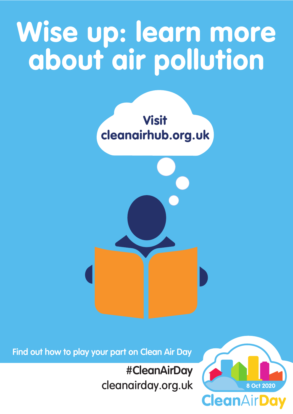# Wise up: learn more about air pollution



### cleanairday.org.uk

### **#CleanAirDay**

**CleanAirDay** 

#### **Find out how to play your part on Clean Air Day**